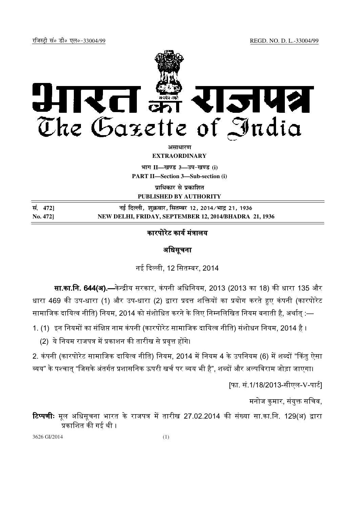

अ**साधार**ण

**EXTRAORDINARY**

 $\lim_{h \to 0} \frac{1}{h} = \frac{1}{h}$  and  $\lim_{h \to 0} \frac{1}{h} = \frac{1}{h}$ 

**PART II—Section 3—Sub-section (i)**

**प्राधिकार से प्रकाशित** 

**PUBLISHED BY AUTHORITY**

| सं. 472] | नई दिल्ली, शुक्रवार, सितम्बर 12, 2014∕भाद्र 21, 1936  |
|----------|-------------------------------------------------------|
| No. 472] | NEW DELHI, FRIDAY, SEPTEMBER 12, 2014/BHADRA 21, 1936 |

## कारपोरेट कार्य मंत्रालय

## अिधसूचना

नई दिल्ली, 12 सितम्बर, 2014

**सा.का.नि. 644(अ).—**केन्द्रीय सरकार, कंपनी अधिनियम, 2013 (2013 का 18) की धारा 135 और धारा 469 की उप-धारा (1) और उप-धारा (2) द्वारा प्रदत्त शक्तियों का प्रयोग करते हुए कंपनी (कारपोरेट सामाजिक दायित्व नीति) नियम, 2014 को संशोधित करने के लिए निम्नलिखित नियम बनाती है, अर्थात् :—

- 1. (1) इन नियमों का संक्षिप्त नाम कंपनी (कारपोरेट सामाजिक दायित्व नीति) संशोधन नियम, 2014 है ।
	- (2) ये नियम राजपत्र में प्रकाशन की तारीख से प्रवत्त होंगे।

2. कंपनी (कारपोरेट सामाजिक दायित्व नीति) नियम, 2014 में नियम 4 के उपनियम (6) में शब्दों "किंतु ऐसा व्यय" के पश्चात् "जिसके अंतर्गत प्रशासनिक ऊपरी खर्च पर व्यय भी है", शब्दों और अल्पविराम जोड़ा जाएगा।

[फा. सं.1/18/2013-सीएल-V-पाट)]

मनोज कुमार, संयुक्त सचिव,

<mark>टिप्पणीः</mark> मूल अधिसूचना भारत के राजपत्र में तारीख 27.02.2014 की संख्या सा.का.नि. 129(अ) द्वारा प्रकाशित की गई थी ।

3626 GI/2014 (1)